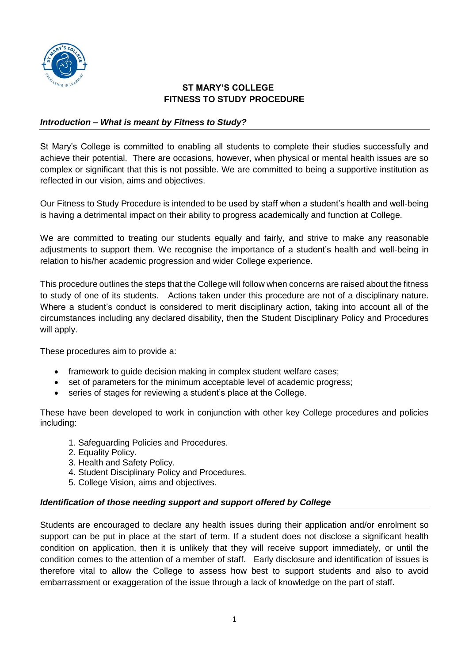

# **ST MARY'S COLLEGE FITNESS TO STUDY PROCEDURE**

## *Introduction – What is meant by Fitness to Study?*

St Mary's College is committed to enabling all students to complete their studies successfully and achieve their potential. There are occasions, however, when physical or mental health issues are so complex or significant that this is not possible. We are committed to being a supportive institution as reflected in our vision, aims and objectives.

Our Fitness to Study Procedure is intended to be used by staff when a student's health and well-being is having a detrimental impact on their ability to progress academically and function at College.

We are committed to treating our students equally and fairly, and strive to make any reasonable adjustments to support them. We recognise the importance of a student's health and well-being in relation to his/her academic progression and wider College experience.

This procedure outlines the steps that the College will follow when concerns are raised about the fitness to study of one of its students. Actions taken under this procedure are not of a disciplinary nature. Where a student's conduct is considered to merit disciplinary action, taking into account all of the circumstances including any declared disability, then the Student Disciplinary Policy and Procedures will apply.

These procedures aim to provide a:

- framework to guide decision making in complex student welfare cases;
- set of parameters for the minimum acceptable level of academic progress;
- series of stages for reviewing a student's place at the College.

These have been developed to work in conjunction with other key College procedures and policies including:

- 1. Safeguarding Policies and Procedures.
- 2. Equality Policy.
- 3. Health and Safety Policy.
- 4. Student Disciplinary Policy and Procedures.
- 5. College Vision, aims and objectives.

### *Identification of those needing support and support offered by College*

Students are encouraged to declare any health issues during their application and/or enrolment so support can be put in place at the start of term. If a student does not disclose a significant health condition on application, then it is unlikely that they will receive support immediately, or until the condition comes to the attention of a member of staff. Early disclosure and identification of issues is therefore vital to allow the College to assess how best to support students and also to avoid embarrassment or exaggeration of the issue through a lack of knowledge on the part of staff.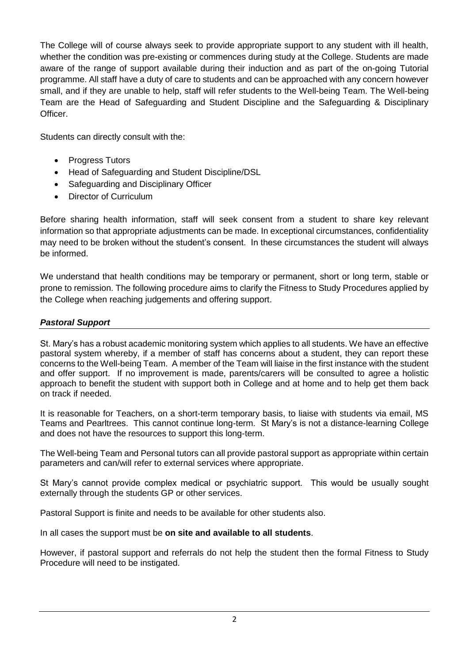The College will of course always seek to provide appropriate support to any student with ill health, whether the condition was pre-existing or commences during study at the College. Students are made aware of the range of support available during their induction and as part of the on-going Tutorial programme. All staff have a duty of care to students and can be approached with any concern however small, and if they are unable to help, staff will refer students to the Well-being Team. The Well-being Team are the Head of Safeguarding and Student Discipline and the Safeguarding & Disciplinary Officer.

Students can directly consult with the:

- Progress Tutors
- Head of Safeguarding and Student Discipline/DSL
- Safeguarding and Disciplinary Officer
- Director of Curriculum

Before sharing health information, staff will seek consent from a student to share key relevant information so that appropriate adjustments can be made. In exceptional circumstances, confidentiality may need to be broken without the student's consent. In these circumstances the student will always be informed.

We understand that health conditions may be temporary or permanent, short or long term, stable or prone to remission. The following procedure aims to clarify the Fitness to Study Procedures applied by the College when reaching judgements and offering support.

# *Pastoral Support*

St. Mary's has a robust academic monitoring system which applies to all students. We have an effective pastoral system whereby, if a member of staff has concerns about a student, they can report these concerns to the Well-being Team. A member of the Team will liaise in the first instance with the student and offer support. If no improvement is made, parents/carers will be consulted to agree a holistic approach to benefit the student with support both in College and at home and to help get them back on track if needed.

It is reasonable for Teachers, on a short-term temporary basis, to liaise with students via email, MS Teams and Pearltrees. This cannot continue long-term.St Mary's is not a distance-learning College and does not have the resources to support this long-term.

The Well-being Team and Personal tutors can all provide pastoral support as appropriate within certain parameters and can/will refer to external services where appropriate.

St Mary's cannot provide complex medical or psychiatric support. This would be usually sought externally through the students GP or other services.

Pastoral Support is finite and needs to be available for other students also.

In all cases the support must be **on site and available to all students**.

However, if pastoral support and referrals do not help the student then the formal Fitness to Study Procedure will need to be instigated.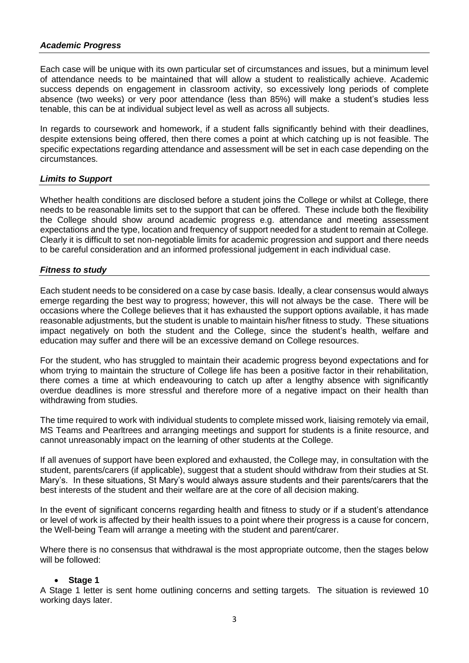#### *Academic Progress*

Each case will be unique with its own particular set of circumstances and issues, but a minimum level of attendance needs to be maintained that will allow a student to realistically achieve. Academic success depends on engagement in classroom activity, so excessively long periods of complete absence (two weeks) or very poor attendance (less than 85%) will make a student's studies less tenable, this can be at individual subject level as well as across all subjects.

In regards to coursework and homework, if a student falls significantly behind with their deadlines, despite extensions being offered, then there comes a point at which catching up is not feasible. The specific expectations regarding attendance and assessment will be set in each case depending on the circumstances.

#### *Limits to Support*

Whether health conditions are disclosed before a student joins the College or whilst at College, there needs to be reasonable limits set to the support that can be offered. These include both the flexibility the College should show around academic progress e.g. attendance and meeting assessment expectations and the type, location and frequency of support needed for a student to remain at College. Clearly it is difficult to set non-negotiable limits for academic progression and support and there needs to be careful consideration and an informed professional judgement in each individual case.

#### *Fitness to study*

Each student needs to be considered on a case by case basis. Ideally, a clear consensus would always emerge regarding the best way to progress; however, this will not always be the case. There will be occasions where the College believes that it has exhausted the support options available, it has made reasonable adjustments, but the student is unable to maintain his/her fitness to study. These situations impact negatively on both the student and the College, since the student's health, welfare and education may suffer and there will be an excessive demand on College resources.

For the student, who has struggled to maintain their academic progress beyond expectations and for whom trying to maintain the structure of College life has been a positive factor in their rehabilitation, there comes a time at which endeavouring to catch up after a lengthy absence with significantly overdue deadlines is more stressful and therefore more of a negative impact on their health than withdrawing from studies.

The time required to work with individual students to complete missed work, liaising remotely via email, MS Teams and Pearltrees and arranging meetings and support for students is a finite resource, and cannot unreasonably impact on the learning of other students at the College.

If all avenues of support have been explored and exhausted, the College may, in consultation with the student, parents/carers (if applicable), suggest that a student should withdraw from their studies at St. Mary's. In these situations, St Mary's would always assure students and their parents/carers that the best interests of the student and their welfare are at the core of all decision making.

In the event of significant concerns regarding health and fitness to study or if a student's attendance or level of work is affected by their health issues to a point where their progress is a cause for concern, the Well-being Team will arrange a meeting with the student and parent/carer.

Where there is no consensus that withdrawal is the most appropriate outcome, then the stages below will be followed:

#### **Stage 1**

A Stage 1 letter is sent home outlining concerns and setting targets. The situation is reviewed 10 working days later.